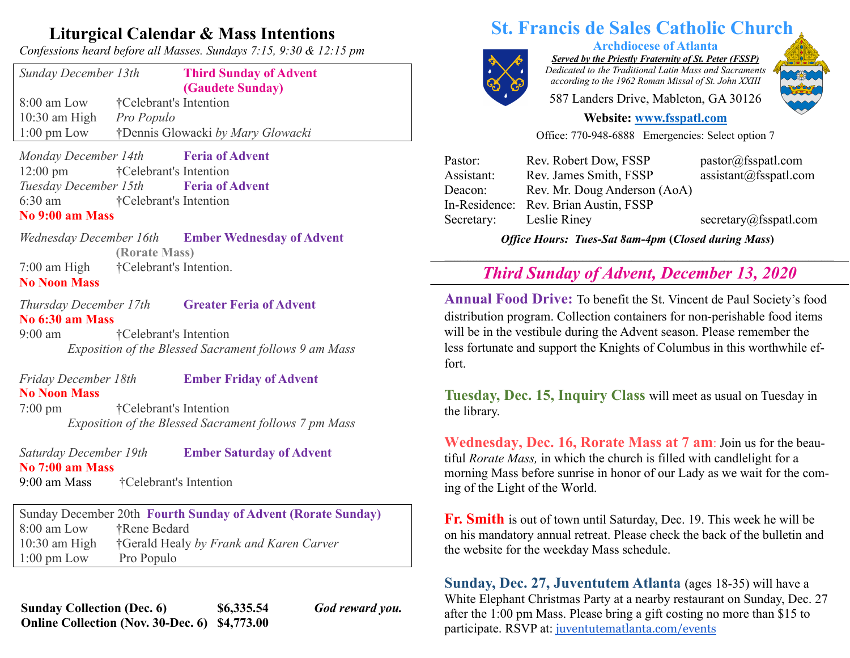## **Liturgical Calendar & Mass Intentions**

*Confessions heard before all Masses. Sundays 7:15, 9:30 & 12:15 pm*

| Sunday December 13th  | <b>Third Sunday of Advent</b><br>(Gaudete Sunday) |
|-----------------------|---------------------------------------------------|
| $8:00$ am Low         | †Celebrant's Intention                            |
| $10:30$ am High       | <i>Pro Populo</i>                                 |
| $1:00 \text{ pm}$ Low | †Dennis Glowacki by Mary Glowacki                 |
|                       |                                                   |

*Monday December 14th* **Feria of Advent** 12:00 pm †Celebrant's Intention *Tuesday December 15th* **Feria of Advent** 6:30 am †Celebrant's Intention

### **No 9:00 am Mass**

*Wednesday December 16th* **Ember Wednesday of Advent (Rorate Mass)** 7:00 am High †Celebrant's Intention. **No Noon Mass**

*Thursday December 17th* **Greater Feria of Advent** 

**No 6:30 am Mass** 9:00 am †Celebrant's Intention

*Exposition of the Blessed Sacrament follows 9 am Mass*

## *Friday December 18th* **Ember Friday of Advent No Noon Mass**

7:00 pm †Celebrant's Intention *Exposition of the Blessed Sacrament follows 7 pm Mass*

*Saturday December 19th* **Ember Saturday of Advent**

### **No 7:00 am Mass**

9:00 am Mass †Celebrant's Intention

Sunday December 20th **Fourth Sunday of Advent (Rorate Sunday)** 8:00 am Low †Rene Bedard 10:30 am High †Gerald Healy *by Frank and Karen Carver* 1:00 pm Low Pro Populo

**Sunday Collection (Dec. 6) \$6,335.54** *God reward you.* **Online Collection (Nov. 30-Dec. 6) \$4,773.00**

# **St. Francis de Sales Catholic Church**

**Archdiocese of Atlanta** *Served by the Priestly Fraternity of St. Peter (FSSP) Dedicated to the Traditional Latin Mass and Sacraments*

*according to the 1962 Roman Missal of St. John XXIII*

587 Landers Drive, Mableton, GA 30126

# **Website: www.fsspatl.com**

# Office: 770-948-6888 Emergencies: Select option 7

| Rev. Robert Dow, FSSP                    | pastor@fsspath.com     |
|------------------------------------------|------------------------|
| Rev. James Smith, FSSP                   | assignment@fsspath.com |
| Rev. Mr. Doug Anderson (AoA)             |                        |
| Rev. Brian Austin, FSSP<br>In-Residence: |                        |
| Leslie Riney                             | secretary@fsspatl.com  |
|                                          |                        |

*Office Hours: Tues-Sat 8am-4pm* **(***Closed during Mass***)**

#### **\_\_\_\_\_\_\_\_\_\_\_\_\_\_\_\_\_\_\_\_\_\_\_\_\_\_\_\_\_\_\_\_\_\_\_\_\_\_\_\_\_\_\_\_\_\_\_\_\_\_\_\_\_\_\_\_\_\_\_\_\_\_\_\_\_\_\_\_\_\_\_\_\_\_\_\_\_\_\_\_\_\_\_\_\_\_\_\_\_\_\_\_\_\_\_\_\_\_\_\_\_\_\_\_\_\_\_\_\_\_\_\_\_\_\_\_\_\_\_\_\_ Third Sunday of Advent, December 13, 2020**

**Annual Food Drive:** To benefit the St. Vincent de Paul Society's food distribution program. Collection containers for non-perishable food items will be in the vestibule during the Advent season. Please remember the less fortunate and support the Knights of Columbus in this worthwhile effort.

**Tuesday, Dec. 15, Inquiry Class** will meet as usual on Tuesday in the library.

**Wednesday, Dec. 16, Rorate Mass at 7 am**: Join us for the beautiful *Rorate Mass,* in which the church is filled with candlelight for a morning Mass before sunrise in honor of our Lady as we wait for the coming of the Light of the World.

**Fr. Smith** is out of town until Saturday, Dec. 19. This week he will be on his mandatory annual retreat. Please check the back of the bulletin and the website for the weekday Mass schedule.

**Sunday, Dec. 27, Juventutem Atlanta** (ages 18-35) will have a White Elephant Christmas Party at a nearby restaurant on Sunday, Dec. 27 after the 1:00 pm Mass. Please bring a gift costing no more than \$15 to participate. RSVP at: juventutematlanta.com/events